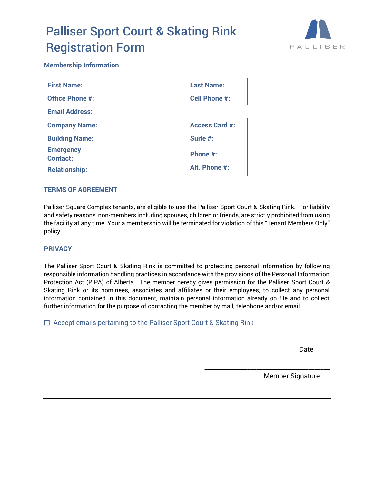# Palliser Sport Court & Skating Rink Registration Form



#### **Membership Information**

| <b>First Name:</b>                  | <b>Last Name:</b>     |  |
|-------------------------------------|-----------------------|--|
| <b>Office Phone #:</b>              | <b>Cell Phone #:</b>  |  |
| <b>Email Address:</b>               |                       |  |
| <b>Company Name:</b>                | <b>Access Card #:</b> |  |
| <b>Building Name:</b>               | Suite #:              |  |
| <b>Emergency</b><br><b>Contact:</b> | Phone #:              |  |
| <b>Relationship:</b>                | Alt. Phone #:         |  |

#### **TERMS OF AGREEMENT**

Palliser Square Complex tenants, are eligible to use the Palliser Sport Court & Skating Rink. For liability and safety reasons, non-members including spouses, children or friends, are strictly prohibited from using the facility at any time. Your a membership will be terminated for violation of this "Tenant Members Only" policy.

#### **PRIVACY**

The Palliser Sport Court & Skating Rink is committed to protecting personal information by following responsible information handling practices in accordance with the provisions of the Personal Information Protection Act (PIPA) of Alberta. The member hereby gives permission for the Palliser Sport Court & Skating Rink or its nominees, associates and affiliates or their employees, to collect any personal information contained in this document, maintain personal information already on file and to collect further information for the purpose of contacting the member by mail, telephone and/or email.

 $\Box$  Accept emails pertaining to the Palliser Sport Court & Skating Rink

\_\_\_\_\_\_\_\_\_\_\_\_\_\_\_\_\_\_ discussion of the contract of the contract of the contract of the contract of the contract of the contract of the contract of the contract of the contract of the contract of the contract of the contract of the contract of

Member Signature

\_\_\_\_\_\_\_\_\_\_\_\_\_\_\_\_\_\_\_\_\_\_\_\_\_\_\_\_\_\_\_\_\_\_\_\_\_\_\_\_\_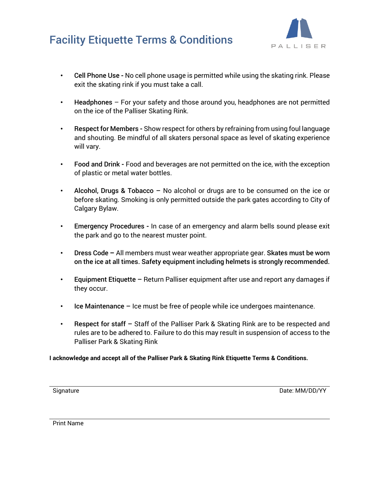## Facility Etiquette Terms & Conditions



- Cell Phone Use **-** No cell phone usage is permitted while using the skating rink. Please exit the skating rink if you must take a call.
- Headphones For your safety and those around you, headphones are not permitted on the ice of the Palliser Skating Rink.
- Respect for Members **-** Show respect for others by refraining from using foul language and shouting. Be mindful of all skaters personal space as level of skating experience will vary.
- Food and Drink **-** Food and beverages are not permitted on the ice, with the exception of plastic or metal water bottles.
- Alcohol, Drugs & Tobacco No alcohol or drugs are to be consumed on the ice or before skating. Smoking is only permitted outside the park gates according to City of Calgary Bylaw.
- Emergency Procedures **-** In case of an emergency and alarm bells sound please exit the park and go to the nearest muster point.
- Dress Code **–** All members must wear weather appropriate gear. Skates must be worn on the ice at all times. Safety equipment including helmets is strongly recommended.
- Equipment Etiquette Return Palliser equipment after use and report any damages if they occur.
- Ice Maintenance Ice must be free of people while ice undergoes maintenance.
- Respect for staff Staff of the Palliser Park & Skating Rink are to be respected and rules are to be adhered to. Failure to do this may result in suspension of access to the Palliser Park & Skating Rink

**I acknowledge and accept all of the Palliser Park & Skating Rink Etiquette Terms & Conditions.**

Signature Date: MM/DD/YY

Print Name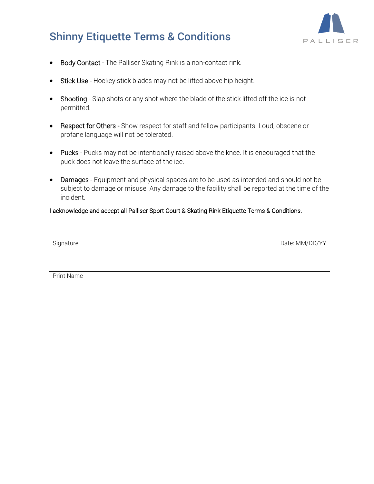

## Shinny Etiquette Terms & Conditions

- Body Contact The Palliser Skating Rink is a non-contact rink.
- Stick Use Hockey stick blades may not be lifted above hip height.
- Shooting Slap shots or any shot where the blade of the stick lifted off the ice is not permitted.
- Respect for Others Show respect for staff and fellow participants. Loud, obscene or profane language will not be tolerated.
- Pucks Pucks may not be intentionally raised above the knee. It is encouraged that the puck does not leave the surface of the ice.
- Damages Equipment and physical spaces are to be used as intended and should not be subject to damage or misuse. Any damage to the facility shall be reported at the time of the incident.

#### I acknowledge and accept all Palliser Sport Court & Skating Rink Etiquette Terms & Conditions.

Signature Date: MM/DD/YY

Print Name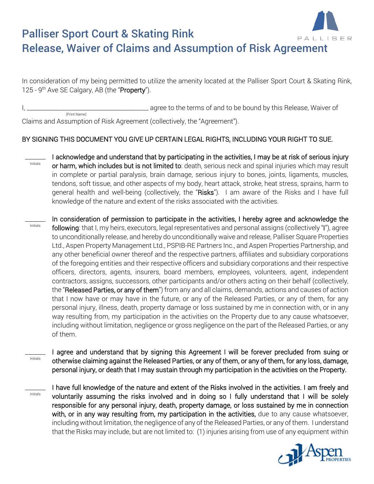

### Palliser Sport Court & Skating Rink PAL Release, Waiver of Claims and Assumption of Risk Agreement

In consideration of my being permitted to utilize the amenity located at the Palliser Sport Court & Skating Rink, 125 - 9<sup>th</sup> Ave SE Calgary, AB (the "Property").

I, \_\_\_\_\_\_\_\_\_\_\_\_\_\_\_\_\_\_\_\_\_\_\_\_\_\_\_\_\_\_\_\_\_\_\_\_\_\_\_\_\_\_ agree to the terms of and to be bound by this Release, Waiver of (Print Name)

Claims and Assumption of Risk Agreement (collectively, the "Agreement").

## BY SIGNING THIS DOCUMENT YOU GIVE UP CERTAIN LEGAL RIGHTS, INCLUDING YOUR RIGHT TO SUE.

\_\_\_\_\_\_\_ Initials I acknowledge and understand that by participating in the activities, I may be at risk of serious injury or harm, which includes but is not limited to: death, serious neck and spinal injuries which may result in complete or partial paralysis, brain damage, serious injury to bones, joints, ligaments, muscles, tendons, soft tissue, and other aspects of my body, heart attack, stroke, heat stress, sprains, harm to general health and well-being (collectively, the "Risks"). I am aware of the Risks and I have full knowledge of the nature and extent of the risks associated with the activities.

\_\_\_\_\_\_\_ Initials In consideration of permission to participate in the activities, I hereby agree and acknowledge the following: that I, my heirs, executors, legal representatives and personal assigns (collectively "I"), agree to unconditionally release, and hereby do unconditionally waive and release, Palliser Square Properties Ltd., Aspen Property Management Ltd., PSPIB-RE Partners Inc., and Aspen Properties Partnership, and any other beneficial owner thereof and the respective partners, affiliates and subsidiary corporations of the foregoing entities and their respective officers and subsidiary corporations and their respective officers, directors, agents, insurers, board members, employees, volunteers, agent, independent contractors, assigns, successors, other participants and/or others acting on their behalf (collectively, the "Released Parties, or any of them") from any and all claims, demands, actions and causes of action that I now have or may have in the future, or any of the Released Parties, or any of them, for any personal injury, illness, death, property damage or loss sustained by me in connection with, or in any way resulting from, my participation in the activities on the Property due to any cause whatsoever, including without limitation, negligence or gross negligence on the part of the Released Parties, or any of them.

\_\_\_\_\_\_\_ Initials I agree and understand that by signing this Agreement I will be forever precluded from suing or otherwise claiming against the Released Parties, or any of them, or any of them, for any loss, damage, personal injury, or death that I may sustain through my participation in the activities on the Property.

\_\_\_\_\_\_\_ Initials

I have full knowledge of the nature and extent of the Risks involved in the activities. I am freely and voluntarily assuming the risks involved and in doing so I fully understand that I will be solely responsible for any personal injury, death, property damage, or loss sustained by me in connection with, or in any way resulting from, my participation in the activities, due to any cause whatsoever, including without limitation, the negligence of any of the Released Parties, or any of them. I understand that the Risks may include, but are not limited to: (1) injuries arising from use of any equipment within

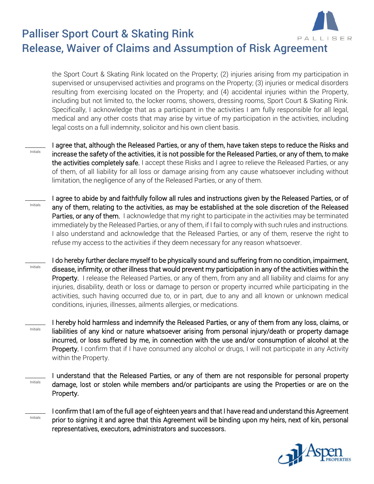

### Palliser Sport Court & Skating Rink PAL Release, Waiver of Claims and Assumption of Risk Agreement

the Sport Court & Skating Rink located on the Property; (2) injuries arising from my participation in supervised or unsupervised activities and programs on the Property; (3) injuries or medical disorders resulting from exercising located on the Property; and (4) accidental injuries within the Property, including but not limited to, the locker rooms, showers, dressing rooms, Sport Court & Skating Rink. Specifically, I acknowledge that as a participant in the activities I am fully responsible for all legal, medical and any other costs that may arise by virtue of my participation in the activities, including legal costs on a full indemnity, solicitor and his own client basis.

 $\overline{\phantom{a}}$ Initials

Initials

I agree that, although the Released Parties, or any of them, have taken steps to reduce the Risks and increase the safety of the activities, it is not possible for the Released Parties, or any of them, to make the activities completely safe. I accept these Risks and I agree to relieve the Released Parties, or any of them, of all liability for all loss or damage arising from any cause whatsoever including without limitation, the negligence of any of the Released Parties, or any of them.

 $\overline{\phantom{a}}$ Initials I agree to abide by and faithfully follow all rules and instructions given by the Released Parties, or of any of them, relating to the activities, as may be established at the sole discretion of the Released Parties, or any of them. I acknowledge that my right to participate in the activities may be terminated immediately by the Released Parties, or any of them, if I fail to comply with such rules and instructions. I also understand and acknowledge that the Released Parties, or any of them, reserve the right to refuse my access to the activities if they deem necessary for any reason whatsoever.

\_\_\_\_\_\_\_ I do hereby further declare myself to be physically sound and suffering from no condition, impairment, disease, infirmity, or other illness that would prevent my participation in any of the activities within the Property. I release the Released Parties, or any of them, from any and all liability and claims for any injuries, disability, death or loss or damage to person or property incurred while participating in the activities, such having occurred due to, or in part, due to any and all known or unknown medical conditions, injuries, illnesses, ailments allergies, or medications.

\_\_\_\_\_\_\_ Initials I hereby hold harmless and indemnify the Released Parties, or any of them from any loss, claims, or liabilities of any kind or nature whatsoever arising from personal injury/death or property damage incurred, or loss suffered by me, in connection with the use and/or consumption of alcohol at the Property. I confirm that if I have consumed any alcohol or drugs, I will not participate in any Activity within the Property.

\_\_\_\_\_\_\_ Initials I understand that the Released Parties, or any of them are not responsible for personal property damage, lost or stolen while members and/or participants are using the Properties or are on the Property.



I confirm that I am of the full age of eighteen years and that I have read and understand this Agreement prior to signing it and agree that this Agreement will be binding upon my heirs, next of kin, personal representatives, executors, administrators and successors.